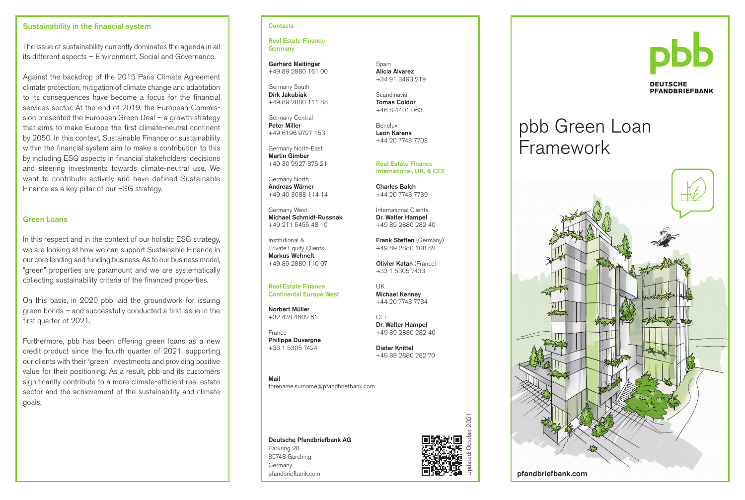#### Sustainability in the financial system

The issue of sustainability currently dominates the agenda in all its different aspects – Environment, Social and Governance.

Against the backdrop of the 2015 Paris Climate Agreement climate protection, mitigation of climate change and adaptation to its consequences have become a focus for the financial services sector. At the end of 2019, the European Commission presented the European Green Deal – a growth strategy that aims to make Europe the first climate-neutral continent by 2050. In this context, Sustainable Finance or sustainability within the financial system aim to make a contribution to this by including ESG aspects in financial stakeholders' decisions and steering investments towards climate-neutral use. We want to contribute actively and have defined Sustainable Finance as a key pillar of our ESG strategy.

#### Green Loans

In this respect and in the context of our holistic ESG strategy, we are looking at how we can support Sustainable Finance in our core lending and funding business. As to our business model, "green" properties are paramount and we are systematically collecting sustainability criteria of the financed properties.

On this basis, in 2020 pbb laid the groundwork for issuing green bonds – and successfully conducted a first issue in the first quarter of 2021.

Furthermore, pbb has been offering green loans as a new credit product since the fourth quarter of 2021, supporting our clients with their "green" investments and providing positive value for their positioning. As a result, pbb and its customers significantly contribute to a more climate-efficient real estate sector and the achievement of the sustainability and climate goals.

#### **Contacts**

Real Estate Finance **Germany** 

Gerhard Meitinger +49 89 2880 161 00

Germany South Dirk Jakubiak +49 89 2880 111 88

Germany Central Peter Miller +49 6196 9727 153

Germany North-East Martin Gimber +49 30 9927 376 21

Germany North Andreas Wärner +49 40 3688 114 14

Germany West Michael Schmidt-Russnak +49 211 5455 48 10

Institutional & Private Equity Clients Markus Wehnelt +49 89 2880 110 07

Real Estate Finance Continental Europe West

Norbert Müller +32 478 4602 61

France Philippe Duvergne +33 1 5305 7424

Mail

forename.surname@pfandbriefbank.com

Deutsche Pfandbriefbank AG Parkring 28 85748 Garching Germany

pfandbriefbank.com



2021

**DEUTSCHE PFANDBRIEFBANK** 

# pbb Green Loan Framework



#### pfandbriefbank.com

Frank Steffen (Germany) +49 89 2880 108 82 Olivier Katan (France)

Spain Alicia Alvarez +34 91 3493 219

Scandinavia Tomas Coldor +46 8 4401 063

Benelux Leon Karens +44 20 7743 7703

Real Estate Finance International, UK, & CEE

Charles Balch +44 20 7743 7739 International Clients Dr. Walter Hampel +49 89 2880 282 40

+44 20 7743 7734

CEE Dr. Walter Hampel

+49 89 2880 282 70

+49 89 2880 282 40 Dieter Knittel

+33 1 5305 7433 UK Michael Kenney